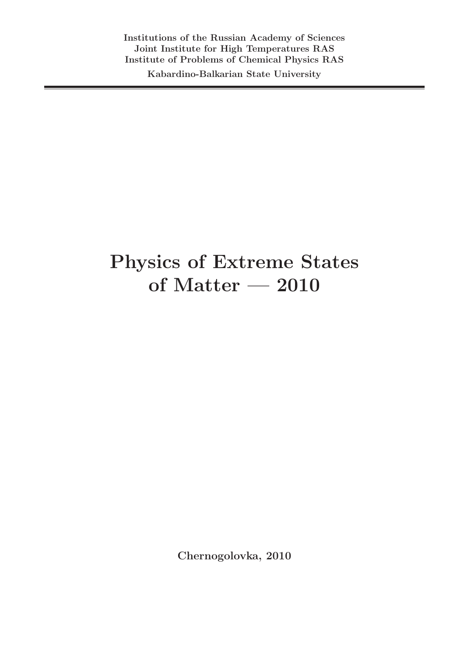Kabardino-Balkarian State University

## Physics of Extreme States of Matter — 2010

Chernogolovka, 2010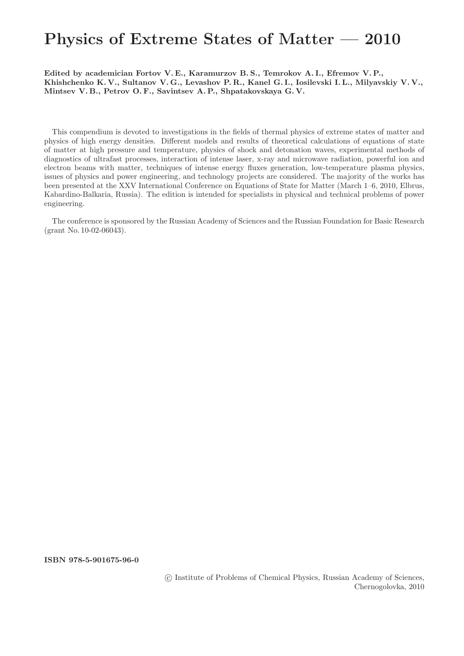## Physics of Extreme States of Matter — 2010

Edited by academician Fortov V. E., Karamurzov B. S., Temrokov A. I., Efremov V. P., Khishchenko K. V., Sultanov V. G., Levashov P. R., Kanel G. I., Iosilevski I. L., Milyavskiy V. V., Mintsev V. B., Petrov O. F., Savintsev A. P., Shpatakovskaya G. V.

This compendium is devoted to investigations in the fields of thermal physics of extreme states of matter and physics of high energy densities. Different models and results of theoretical calculations of equations of state of matter at high pressure and temperature, physics of shock and detonation waves, experimental methods of diagnostics of ultrafast processes, interaction of intense laser, x-ray and microwave radiation, powerful ion and electron beams with matter, techniques of intense energy fluxes generation, low-temperature plasma physics, issues of physics and power engineering, and technology projects are considered. The majority of the works has been presented at the XXV International Conference on Equations of State for Matter (March 1–6, 2010, Elbrus, Kabardino-Balkaria, Russia). The edition is intended for specialists in physical and technical problems of power engineering.

The conference is sponsored by the Russian Academy of Sciences and the Russian Foundation for Basic Research (grant No. 10-02-06043).

ISBN 978-5-901675-96-0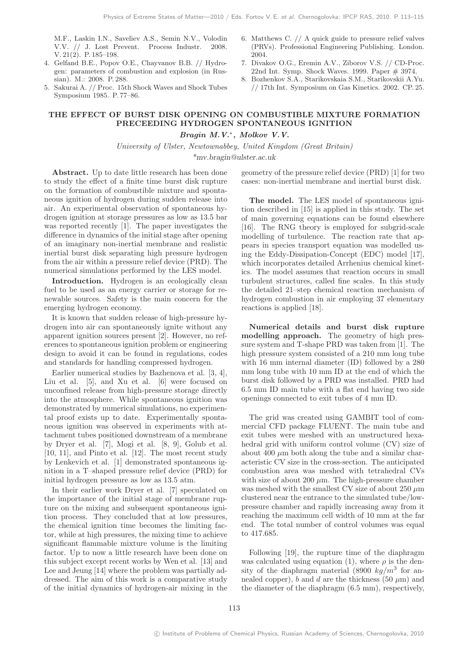M.F., Laskin I.N., Saveliev A.S., Semin N.V., Volodin V.V. // J. Lost Prevent. Process Industr. 2008. V. 21(2). P. 185–198.

- 4. Gelfand B.E., Popov O.E., Chayvanov B.B. // Hydrogen: parameters of combustion and explosion (in Russian). M.: 2008. P. 288.
- 5. Sakurai A. // Proc. 15th Shock Waves and Shock Tubes Symposium 1985. P. 77–86.
- 6. Matthews C. // A quick guide to pressure relief valves (PRVs). Professional Engineering Publishing. London. 2004.
- 7. Divakov O.G., Eremin A.V., Ziborov V.S. // CD-Proc. 22nd Int. Symp. Shock Waves. 1999. Paper # 3974.
- 8. Bozhenkov S.A., Starikovskaia S.M., Starikovskii A.Yu. // 17th Int. Symposium on Gas Kinetics. 2002. CP. 25.

## THE EFFECT OF BURST DISK OPENING ON COMBUSTIBLE MIXTURE FORMATION PRECEEDING HYDROGEN SPONTANEOUS IGNITION Bragin M.V.∗ , Molkov V.V.

University of Ulster, Newtownabbey, United Kingdom (Great Britain) \*mv.bragin@ulster.ac.uk

Abstract. Up to date little research has been done to study the effect of a finite time burst disk rupture on the formation of combustible mixture and spontaneous ignition of hydrogen during sudden release into air. An experimental observation of spontaneous hydrogen ignition at storage pressures as low as 13.5 bar was reported recently [1]. The paper investigates the difference in dynamics of the initial stage after opening of an imaginary non-inertial membrane and realistic inertial burst disk separating high pressure hydrogen from the air within a pressure relief device (PRD). The numerical simulations performed by the LES model.

Introduction. Hydrogen is an ecologically clean fuel to be used as an energy carrier or storage for renewable sources. Safety is the main concern for the emerging hydrogen economy.

It is known that sudden release of high-pressure hydrogen into air can spontaneously ignite without any apparent ignition sources present [2]. However, no references to spontaneous ignition problem or engineering design to avoid it can be found in regulations, codes and standards for handling compressed hydrogen.

Earlier numerical studies by Bazhenova et al. [3, 4], Liu et al. [5], and Xu et al. [6] were focused on unconfined release from high-pressure storage directly into the atmosphere. While spontaneous ignition was demonstrated by numerical simulations, no experimental proof exists up to date. Experimentally spontaneous ignition was observed in experiments with attachment tubes positioned downstream of a membrane by Dryer et al. [7], Mogi et al. [8, 9], Golub et al. [10, 11], and Pinto et al. [12]. The most recent study by Lenkevich et al. [1] demonstrated spontaneous ignition in a T–shaped pressure relief device (PRD) for initial hydrogen pressure as low as 13.5 atm.

In their earlier work Dryer et al. [7] speculated on the importance of the initial stage of membrane rupture on the mixing and subsequent spontaneous ignition process. They concluded that at low pressures, the chemical ignition time becomes the limiting factor, while at high pressures, the mixing time to achieve significant flammable mixture volume is the limiting factor. Up to now a little research have been done on this subject except recent works by Wen et al. [13] and Lee and Jeung [14] where the problem was partially addressed. The aim of this work is a comparative study of the initial dynamics of hydrogen-air mixing in the geometry of the pressure relief device (PRD) [1] for two cases: non-inertial membrane and inertial burst disk.

The model. The LES model of spontaneous ignition described in [15] is applied in this study. The set of main governing equations can be found elsewhere [16]. The RNG theory is employed for subgrid-scale modelling of turbulence. The reaction rate that appears in species transport equation was modelled using the Eddy-Dissipation-Concept (EDC) model [17], which incorporates detailed Arrhenius chemical kinetics. The model assumes that reaction occurs in small turbulent structures, called fine scales. In this study the detailed 21–step chemical reaction mechanism of hydrogen combustion in air employing 37 elementary reactions is applied [18].

Numerical details and burst disk rupture modelling approach. The geometry of high pressure system and T-shape PRD was taken from [1]. The high pressure system consisted of a 210 mm long tube with 16 mm internal diameter (ID) followed by a 280 mm long tube with 10 mm ID at the end of which the burst disk followed by a PRD was installed. PRD had 6.5 mm ID main tube with a flat end having two side openings connected to exit tubes of 4 mm ID.

The grid was created using GAMBIT tool of commercial CFD package FLUENT. The main tube and exit tubes were meshed with an unstructured hexahedral grid with uniform control volume (CV) size of about 400  $\mu$ m both along the tube and a similar characteristic CV size in the cross-section. The anticipated combustion area was meshed with tetrahedral CVs with size of about 200  $\mu$ m. The high-pressure chamber was meshed with the smallest CV size of about 250  $\mu$ m clustered near the entrance to the simulated tube/lowpressure chamber and rapidly increasing away from it reaching the maximum cell width of 10 mm at the far end. The total number of control volumes was equal to 417.685.

Following [19], the rupture time of the diaphragm was calculated using equation (1), where  $\rho$  is the density of the diaphragm material (8900  $kg/m^3$  for annealed copper), b and d are the thickness (50  $\mu$ m) and the diameter of the diaphragm (6.5 mm), respectively,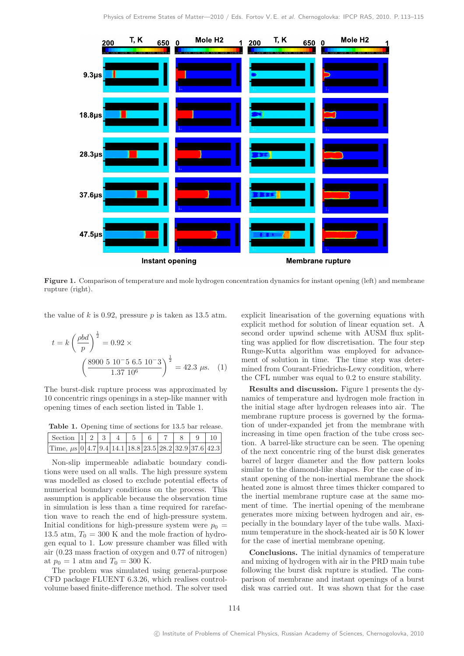

Figure 1. Comparison of temperature and mole hydrogen concentration dynamics for instant opening (left) and membrane rupture (right).

the value of k is 0.92, pressure  $p$  is taken as 13.5 atm.

$$
t = k \left(\frac{\rho bd}{p}\right)^{\frac{1}{2}} = 0.92 \times \left(\frac{8900 \, 5 \, 10^{-5} \, 6.5 \, 10^{-3}}{1.37 \, 10^6}\right)^{\frac{1}{2}} = 42.3 \, \mu \text{s.}
$$
 (1)

The burst-disk rupture process was approximated by 10 concentric rings openings in a step-like manner with opening times of each section listed in Table 1.

Table 1. Opening time of sections for 13.5 bar release.

| Section $ 1 $ 2 $ 3 $ 4 $ 5 $ 6 $ 7 $ 8 $ 9 $ 10                               |  |  |  |  |  |
|--------------------------------------------------------------------------------|--|--|--|--|--|
| Time, $\mu$ s   0   4.7   9.4   14.1   18.8   23.5   28.2   32.9   37.6   42.3 |  |  |  |  |  |

Non-slip impermeable adiabatic boundary conditions were used on all walls. The high pressure system was modelled as closed to exclude potential effects of numerical boundary conditions on the process. This assumption is applicable because the observation time in simulation is less than a time required for rarefaction wave to reach the end of high-pressure system. Initial conditions for high-pressure system were  $p_0 =$ 13.5 atm,  $T_0 = 300$  K and the mole fraction of hydrogen equal to 1. Low pressure chamber was filled with air (0.23 mass fraction of oxygen and 0.77 of nitrogen) at  $p_0 = 1$  atm and  $T_0 = 300$  K.

The problem was simulated using general-purpose CFD package FLUENT 6.3.26, which realises controlvolume based finite-difference method. The solver used

explicit linearisation of the governing equations with explicit method for solution of linear equation set. A second order upwind scheme with AUSM flux splitting was applied for flow discretisation. The four step Runge-Kutta algorithm was employed for advancement of solution in time. The time step was determined from Courant-Friedrichs-Lewy condition, where the CFL number was equal to 0.2 to ensure stability.

Results and discussion. Figure 1 presents the dynamics of temperature and hydrogen mole fraction in the initial stage after hydrogen releases into air. The membrane rupture process is governed by the formation of under-expanded jet from the membrane with increasing in time open fraction of the tube cross section. A barrel-like structure can be seen. The opening of the next concentric ring of the burst disk generates barrel of larger diameter and the flow pattern looks similar to the diamond-like shapes. For the case of instant opening of the non-inertial membrane the shock heated zone is almost three times thicker compared to the inertial membrane rupture case at the same moment of time. The inertial opening of the membrane generates more mixing between hydrogen and air, especially in the boundary layer of the tube walls. Maximum temperature in the shock-heated air is 50 K lower for the case of inertial membrane opening.

Conclusions. The initial dynamics of temperature and mixing of hydrogen with air in the PRD main tube following the burst disk rupture is studied. The comparison of membrane and instant openings of a burst disk was carried out. It was shown that for the case